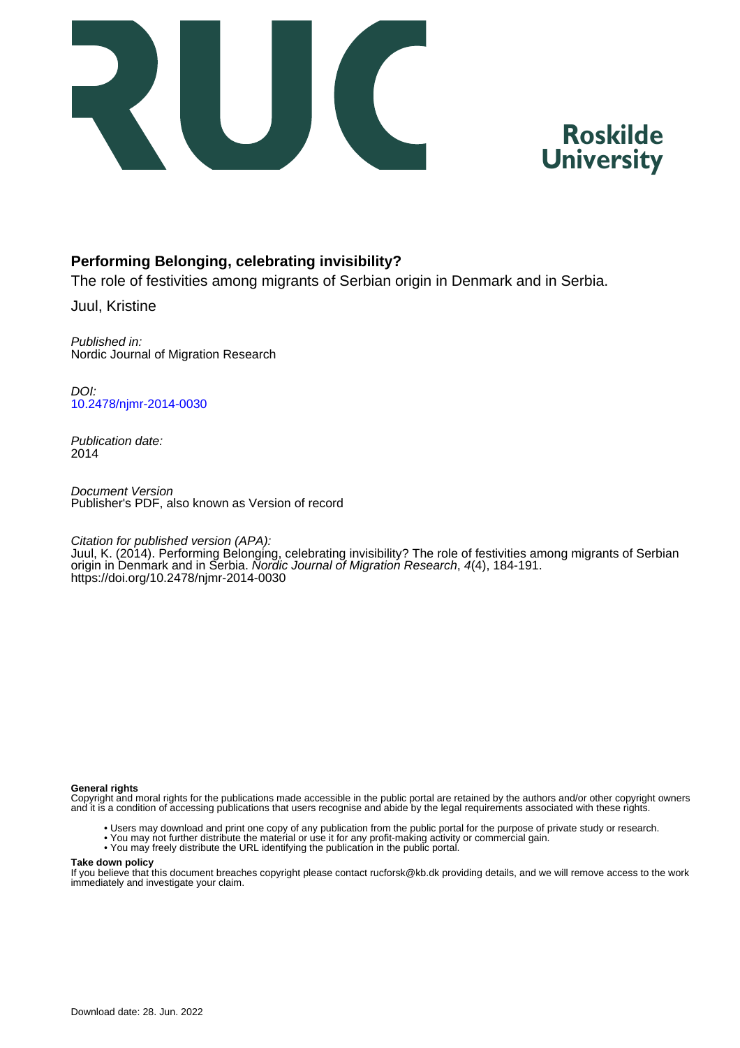



# **Performing Belonging, celebrating invisibility?**

The role of festivities among migrants of Serbian origin in Denmark and in Serbia.

Juul, Kristine

Published in: Nordic Journal of Migration Research

DOI: [10.2478/njmr-2014-0030](https://doi.org/10.2478/njmr-2014-0030)

Publication date: 2014

Document Version Publisher's PDF, also known as Version of record

Citation for published version (APA):

Juul, K. (2014). Performing Belonging, celebrating invisibility? The role of festivities among migrants of Serbian origin in Denmark and in Serbia. *Nordic Journal of Migration Research*, *4*(4), 184-191. <https://doi.org/10.2478/njmr-2014-0030>

#### **General rights**

Copyright and moral rights for the publications made accessible in the public portal are retained by the authors and/or other copyright owners and it is a condition of accessing publications that users recognise and abide by the legal requirements associated with these rights.

- Users may download and print one copy of any publication from the public portal for the purpose of private study or research.
- You may not further distribute the material or use it for any profit-making activity or commercial gain.
- You may freely distribute the URL identifying the publication in the public portal.

#### **Take down policy**

If you believe that this document breaches copyright please contact rucforsk@kb.dk providing details, and we will remove access to the work immediately and investigate your claim.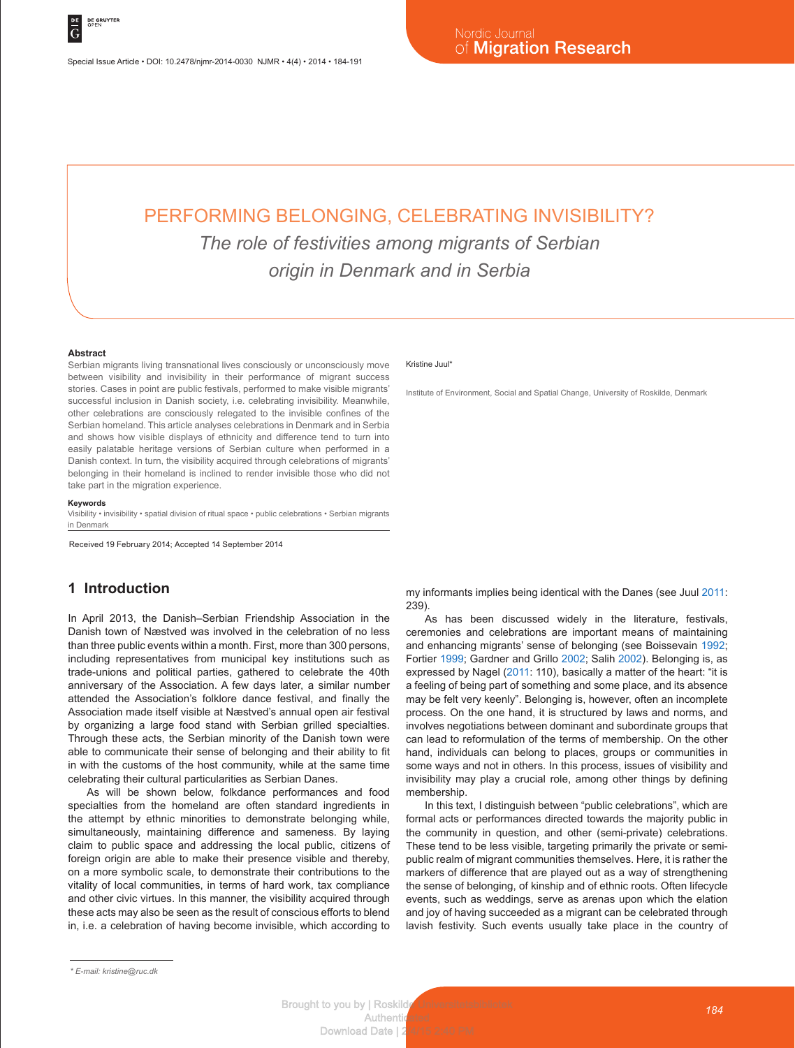# PERFORMING BELONGING, CELEBRATING INVISIBILITY? *The role of festivities among migrants of Serbian origin in Denmark and in Serbia*

#### **Abstract**

Serbian migrants living transnational lives consciously or unconsciously move between visibility and invisibility in their performance of migrant success stories. Cases in point are public festivals, performed to make visible migrants' successful inclusion in Danish society, i.e. celebrating invisibility. Meanwhile, other celebrations are consciously relegated to the invisible confines of the Serbian homeland. This article analyses celebrations in Denmark and in Serbia and shows how visible displays of ethnicity and difference tend to turn into easily palatable heritage versions of Serbian culture when performed in a Danish context. In turn, the visibility acquired through celebrations of migrants' belonging in their homeland is inclined to render invisible those who did not take part in the migration experience.

#### **Keywords**

Visibility • invisibility • spatial division of ritual space • public celebrations • Serbian migrants in Denmark

Received 19 February 2014; Accepted 14 September 2014

#### **1 Introduction**

In April 2013, the Danish–Serbian Friendship Association in the Danish town of Næstved was involved in the celebration of no less than three public events within a month. First, more than 300 persons, including representatives from municipal key institutions such as trade-unions and political parties, gathered to celebrate the 40th anniversary of the Association. A few days later, a similar number attended the Association's folklore dance festival, and finally the Association made itself visible at Næstved's annual open air festival by organizing a large food stand with Serbian grilled specialties. Through these acts, the Serbian minority of the Danish town were able to communicate their sense of belonging and their ability to fit in with the customs of the host community, while at the same time celebrating their cultural particularities as Serbian Danes.

As will be shown below, folkdance performances and food specialties from the homeland are often standard ingredients in the attempt by ethnic minorities to demonstrate belonging while, simultaneously, maintaining difference and sameness. By laying claim to public space and addressing the local public, citizens of foreign origin are able to make their presence visible and thereby, on a more symbolic scale, to demonstrate their contributions to the vitality of local communities, in terms of hard work, tax compliance and other civic virtues. In this manner, the visibility acquired through these acts may also be seen as the result of conscious efforts to blend in, i.e. a celebration of having become invisible, which according to

#### Kristine Juul\*

Institute of Environment, Social and Spatial Change, University of Roskilde, Denmark

my informants implies being identical with the Danes (see Juul 2011: 239).

As has been discussed widely in the literature, festivals, ceremonies and celebrations are important means of maintaining and enhancing migrants' sense of belonging (see Boissevain 1992; Fortier 1999; Gardner and Grillo 2002; Salih 2002). Belonging is, as expressed by Nagel (2011: 110), basically a matter of the heart: "it is a feeling of being part of something and some place, and its absence may be felt very keenly". Belonging is, however, often an incomplete process. On the one hand, it is structured by laws and norms, and involves negotiations between dominant and subordinate groups that can lead to reformulation of the terms of membership. On the other hand, individuals can belong to places, groups or communities in some ways and not in others. In this process, issues of visibility and invisibility may play a crucial role, among other things by defining membership.

In this text, I distinguish between "public celebrations", which are formal acts or performances directed towards the majority public in the community in question, and other (semi-private) celebrations. These tend to be less visible, targeting primarily the private or semipublic realm of migrant communities themselves. Here, it is rather the markers of difference that are played out as a way of strengthening the sense of belonging, of kinship and of ethnic roots. Often lifecycle events, such as weddings, serve as arenas upon which the elation and joy of having succeeded as a migrant can be celebrated through lavish festivity. Such events usually take place in the country of

*<sup>\*</sup> E-mail: kristine@ruc.dk*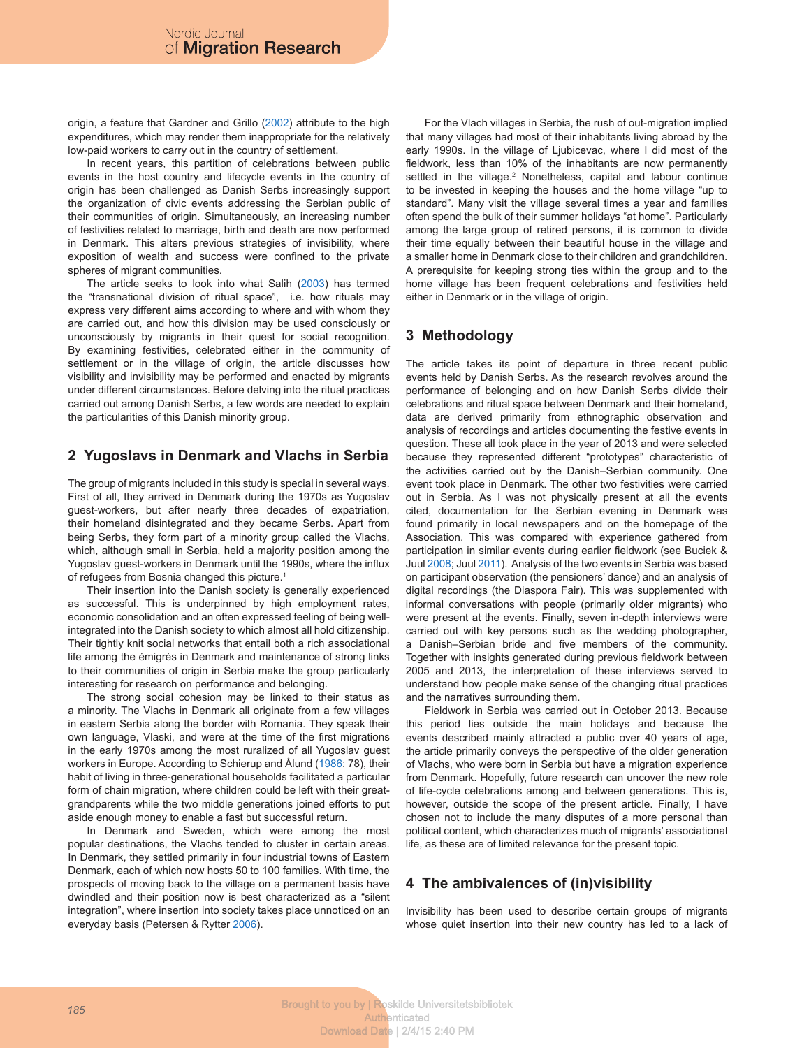origin, a feature that Gardner and Grillo (2002) attribute to the high expenditures, which may render them inappropriate for the relatively low-paid workers to carry out in the country of settlement.

In recent years, this partition of celebrations between public events in the host country and lifecycle events in the country of origin has been challenged as Danish Serbs increasingly support the organization of civic events addressing the Serbian public of their communities of origin. Simultaneously, an increasing number of festivities related to marriage, birth and death are now performed in Denmark. This alters previous strategies of invisibility, where exposition of wealth and success were confined to the private spheres of migrant communities.

The article seeks to look into what Salih (2003) has termed the "transnational division of ritual space", i.e. how rituals may express very different aims according to where and with whom they are carried out, and how this division may be used consciously or unconsciously by migrants in their quest for social recognition. By examining festivities, celebrated either in the community of settlement or in the village of origin, the article discusses how visibility and invisibility may be performed and enacted by migrants under different circumstances. Before delving into the ritual practices carried out among Danish Serbs, a few words are needed to explain the particularities of this Danish minority group.

### **2 Yugoslavs in Denmark and Vlachs in Serbia**

The group of migrants included in this study is special in several ways. First of all, they arrived in Denmark during the 1970s as Yugoslav guest-workers, but after nearly three decades of expatriation, their homeland disintegrated and they became Serbs. Apart from being Serbs, they form part of a minority group called the Vlachs, which, although small in Serbia, held a majority position among the Yugoslav guest-workers in Denmark until the 1990s, where the influx of refugees from Bosnia changed this picture.<sup>1</sup>

Their insertion into the Danish society is generally experienced as successful. This is underpinned by high employment rates, economic consolidation and an often expressed feeling of being wellintegrated into the Danish society to which almost all hold citizenship. Their tightly knit social networks that entail both a rich associational life among the émigrés in Denmark and maintenance of strong links to their communities of origin in Serbia make the group particularly interesting for research on performance and belonging.

The strong social cohesion may be linked to their status as a minority. The Vlachs in Denmark all originate from a few villages in eastern Serbia along the border with Romania. They speak their own language, Vlaski, and were at the time of the first migrations in the early 1970s among the most ruralized of all Yugoslav guest workers in Europe. According to Schierup and Ålund (1986: 78), their habit of living in three-generational households facilitated a particular form of chain migration, where children could be left with their greatgrandparents while the two middle generations joined efforts to put aside enough money to enable a fast but successful return.

In Denmark and Sweden, which were among the most popular destinations, the Vlachs tended to cluster in certain areas. In Denmark, they settled primarily in four industrial towns of Eastern Denmark, each of which now hosts 50 to 100 families. With time, the prospects of moving back to the village on a permanent basis have dwindled and their position now is best characterized as a "silent integration", where insertion into society takes place unnoticed on an everyday basis (Petersen & Rytter 2006).

For the Vlach villages in Serbia, the rush of out-migration implied that many villages had most of their inhabitants living abroad by the early 1990s. In the village of Ljubicevac, where I did most of the fieldwork, less than 10% of the inhabitants are now permanently settled in the village.<sup>2</sup> Nonetheless, capital and labour continue to be invested in keeping the houses and the home village "up to standard". Many visit the village several times a year and families often spend the bulk of their summer holidays "at home". Particularly among the large group of retired persons, it is common to divide their time equally between their beautiful house in the village and a smaller home in Denmark close to their children and grandchildren. A prerequisite for keeping strong ties within the group and to the home village has been frequent celebrations and festivities held either in Denmark or in the village of origin.

# **3 Methodology**

The article takes its point of departure in three recent public events held by Danish Serbs. As the research revolves around the performance of belonging and on how Danish Serbs divide their celebrations and ritual space between Denmark and their homeland, data are derived primarily from ethnographic observation and analysis of recordings and articles documenting the festive events in question. These all took place in the year of 2013 and were selected because they represented different "prototypes" characteristic of the activities carried out by the Danish–Serbian community. One event took place in Denmark. The other two festivities were carried out in Serbia. As I was not physically present at all the events cited, documentation for the Serbian evening in Denmark was found primarily in local newspapers and on the homepage of the Association. This was compared with experience gathered from participation in similar events during earlier fieldwork (see Buciek & Juul 2008; Juul 2011). Analysis of the two events in Serbia was based on participant observation (the pensioners' dance) and an analysis of digital recordings (the Diaspora Fair). This was supplemented with informal conversations with people (primarily older migrants) who were present at the events. Finally, seven in-depth interviews were carried out with key persons such as the wedding photographer, a Danish–Serbian bride and five members of the community. Together with insights generated during previous fieldwork between 2005 and 2013, the interpretation of these interviews served to understand how people make sense of the changing ritual practices and the narratives surrounding them.

Fieldwork in Serbia was carried out in October 2013. Because this period lies outside the main holidays and because the events described mainly attracted a public over 40 years of age, the article primarily conveys the perspective of the older generation of Vlachs, who were born in Serbia but have a migration experience from Denmark. Hopefully, future research can uncover the new role of life-cycle celebrations among and between generations. This is, however, outside the scope of the present article. Finally, I have chosen not to include the many disputes of a more personal than political content, which characterizes much of migrants' associational life, as these are of limited relevance for the present topic.

# **4 The ambivalences of (in)visibility**

Invisibility has been used to describe certain groups of migrants whose quiet insertion into their new country has led to a lack of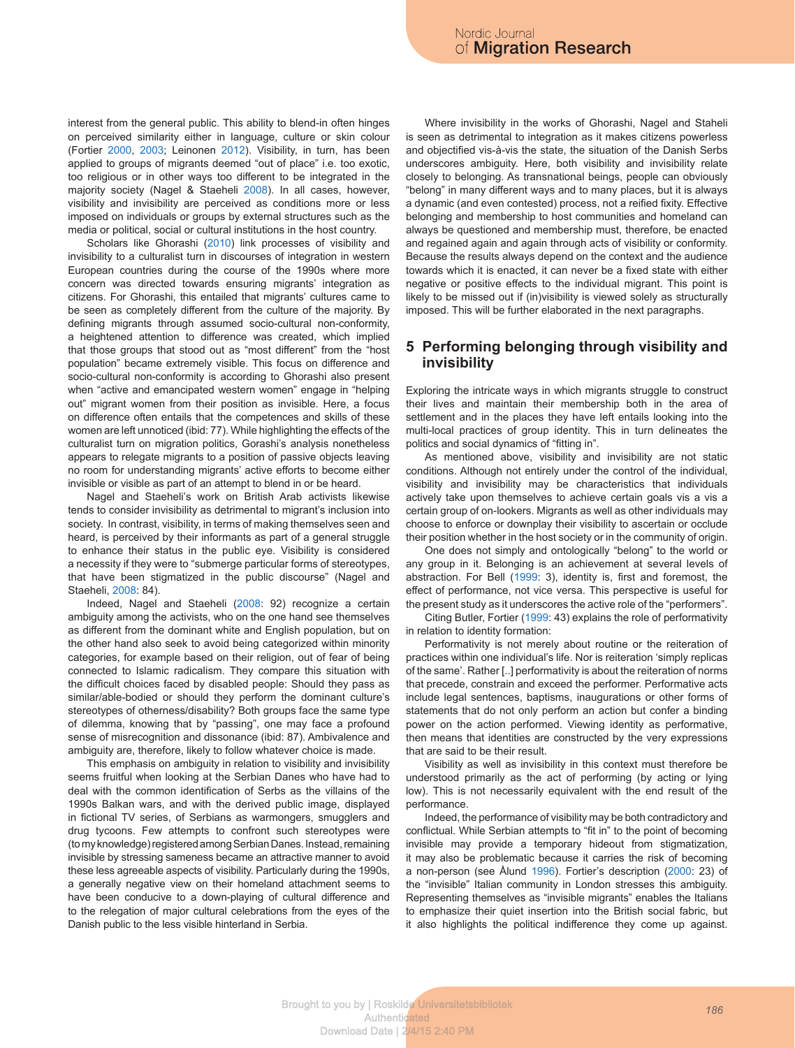interest from the general public. This ability to blend-in often hinges on perceived similarity either in language, culture or skin colour (Fortier 2000, 2003; Leinonen 2012). Visibility, in turn, has been applied to groups of migrants deemed "out of place" i.e. too exotic, too religious or in other ways too different to be integrated in the majority society (Nagel & Staeheli 2008). In all cases, however, visibility and invisibility are perceived as conditions more or less imposed on individuals or groups by external structures such as the media or political, social or cultural institutions in the host country.

Scholars like Ghorashi (2010) link processes of visibility and invisibility to a culturalist turn in discourses of integration in western European countries during the course of the 1990s where more concern was directed towards ensuring migrants' integration as citizens. For Ghorashi, this entailed that migrants' cultures came to be seen as completely different from the culture of the majority. By defining migrants through assumed socio-cultural non-conformity, a heightened attention to difference was created, which implied that those groups that stood out as "most different" from the "host population" became extremely visible. This focus on difference and socio-cultural non-conformity is according to Ghorashi also present when "active and emancipated western women" engage in "helping out" migrant women from their position as invisible. Here, a focus on difference often entails that the competences and skills of these women are left unnoticed (ibid: 77). While highlighting the effects of the culturalist turn on migration politics, Gorashi's analysis nonetheless appears to relegate migrants to a position of passive objects leaving no room for understanding migrants' active efforts to become either invisible or visible as part of an attempt to blend in or be heard.

Nagel and Staeheli's work on British Arab activists likewise tends to consider invisibility as detrimental to migrant's inclusion into society. In contrast, visibility, in terms of making themselves seen and heard, is perceived by their informants as part of a general struggle to enhance their status in the public eye. Visibility is considered a necessity if they were to "submerge particular forms of stereotypes, that have been stigmatized in the public discourse" (Nagel and Staeheli, 2008: 84).

Indeed, Nagel and Staeheli (2008: 92) recognize a certain ambiguity among the activists, who on the one hand see themselves as different from the dominant white and English population, but on the other hand also seek to avoid being categorized within minority categories, for example based on their religion, out of fear of being connected to Islamic radicalism. They compare this situation with the difficult choices faced by disabled people: Should they pass as similar/able-bodied or should they perform the dominant culture's stereotypes of otherness/disability? Both groups face the same type of dilemma, knowing that by "passing", one may face a profound sense of misrecognition and dissonance (ibid: 87). Ambivalence and ambiguity are, therefore, likely to follow whatever choice is made.

This emphasis on ambiguity in relation to visibility and invisibility seems fruitful when looking at the Serbian Danes who have had to deal with the common identification of Serbs as the villains of the 1990s Balkan wars, and with the derived public image, displayed in fictional TV series, of Serbians as warmongers, smugglers and drug tycoons. Few attempts to confront such stereotypes were (to my knowledge) registered among Serbian Danes. Instead, remaining invisible by stressing sameness became an attractive manner to avoid these less agreeable aspects of visibility. Particularly during the 1990s, a generally negative view on their homeland attachment seems to have been conducive to a down-playing of cultural difference and to the relegation of major cultural celebrations from the eyes of the Danish public to the less visible hinterland in Serbia.

Where invisibility in the works of Ghorashi, Nagel and Staheli is seen as detrimental to integration as it makes citizens powerless and objectified vis-à-vis the state, the situation of the Danish Serbs underscores ambiguity. Here, both visibility and invisibility relate closely to belonging. As transnational beings, people can obviously "belong" in many different ways and to many places, but it is always a dynamic (and even contested) process, not a reified fixity. Effective belonging and membership to host communities and homeland can always be questioned and membership must, therefore, be enacted and regained again and again through acts of visibility or conformity. Because the results always depend on the context and the audience towards which it is enacted, it can never be a fixed state with either negative or positive effects to the individual migrant. This point is likely to be missed out if (in)visibility is viewed solely as structurally imposed. This will be further elaborated in the next paragraphs.

#### **5 Performing belonging through visibility and invisibility**

Exploring the intricate ways in which migrants struggle to construct their lives and maintain their membership both in the area of settlement and in the places they have left entails looking into the multi-local practices of group identity. This in turn delineates the politics and social dynamics of "fitting in".

As mentioned above, visibility and invisibility are not static conditions. Although not entirely under the control of the individual, visibility and invisibility may be characteristics that individuals actively take upon themselves to achieve certain goals vis a vis a certain group of on-lookers. Migrants as well as other individuals may choose to enforce or downplay their visibility to ascertain or occlude their position whether in the host society or in the community of origin.

One does not simply and ontologically "belong" to the world or any group in it. Belonging is an achievement at several levels of abstraction. For Bell (1999: 3), identity is, first and foremost, the effect of performance, not vice versa. This perspective is useful for the present study as it underscores the active role of the "performers".

Citing Butler, Fortier (1999: 43) explains the role of performativity in relation to identity formation:

Performativity is not merely about routine or the reiteration of practices within one individual's life. Nor is reiteration 'simply replicas of the same'. Rather [..] performativity is about the reiteration of norms that precede, constrain and exceed the performer. Performative acts include legal sentences, baptisms, inaugurations or other forms of statements that do not only perform an action but confer a binding power on the action performed. Viewing identity as performative, then means that identities are constructed by the very expressions that are said to be their result.

Visibility as well as invisibility in this context must therefore be understood primarily as the act of performing (by acting or lying low). This is not necessarily equivalent with the end result of the performance.

Indeed, the performance of visibility may be both contradictory and conflictual. While Serbian attempts to "fit in" to the point of becoming invisible may provide a temporary hideout from stigmatization, it may also be problematic because it carries the risk of becoming a non-person (see Ålund 1996). Fortier's description (2000: 23) of the "invisible" Italian community in London stresses this ambiguity. Representing themselves as "invisible migrants" enables the Italians to emphasize their quiet insertion into the British social fabric, but it also highlights the political indifference they come up against.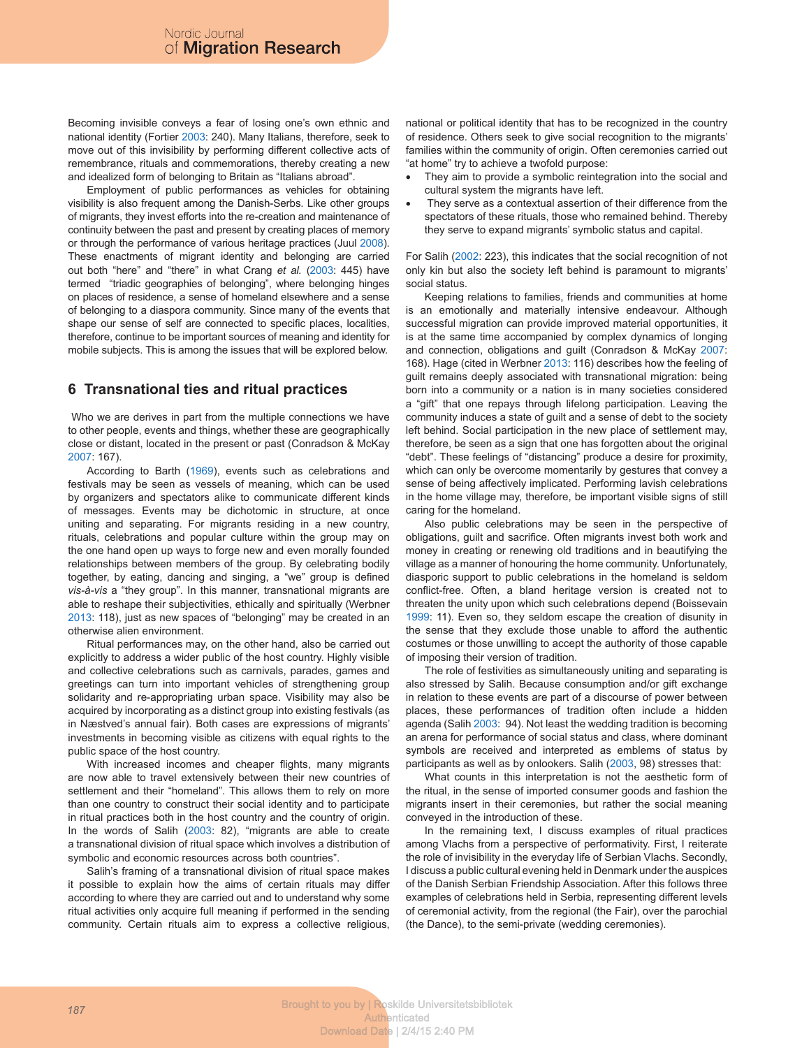Becoming invisible conveys a fear of losing one's own ethnic and national identity (Fortier 2003: 240). Many Italians, therefore, seek to move out of this invisibility by performing different collective acts of remembrance, rituals and commemorations, thereby creating a new and idealized form of belonging to Britain as "Italians abroad".

Employment of public performances as vehicles for obtaining visibility is also frequent among the Danish-Serbs. Like other groups of migrants, they invest efforts into the re-creation and maintenance of continuity between the past and present by creating places of memory or through the performance of various heritage practices (Juul 2008). These enactments of migrant identity and belonging are carried out both "here" and "there" in what Crang *et al.* (2003: 445) have termed "triadic geographies of belonging", where belonging hinges on places of residence, a sense of homeland elsewhere and a sense of belonging to a diaspora community. Since many of the events that shape our sense of self are connected to specific places, localities, therefore, continue to be important sources of meaning and identity for mobile subjects. This is among the issues that will be explored below.

### **6 Transnational ties and ritual practices**

 Who we are derives in part from the multiple connections we have to other people, events and things, whether these are geographically close or distant, located in the present or past (Conradson & McKay 2007: 167).

According to Barth (1969), events such as celebrations and festivals may be seen as vessels of meaning, which can be used by organizers and spectators alike to communicate different kinds of messages. Events may be dichotomic in structure, at once uniting and separating. For migrants residing in a new country, rituals, celebrations and popular culture within the group may on the one hand open up ways to forge new and even morally founded relationships between members of the group. By celebrating bodily together, by eating, dancing and singing, a "we" group is defined *vis-à-vis* a "they group". In this manner, transnational migrants are able to reshape their subjectivities, ethically and spiritually (Werbner 2013: 118), just as new spaces of "belonging" may be created in an otherwise alien environment.

Ritual performances may, on the other hand, also be carried out explicitly to address a wider public of the host country. Highly visible and collective celebrations such as carnivals, parades, games and greetings can turn into important vehicles of strengthening group solidarity and re-appropriating urban space. Visibility may also be acquired by incorporating as a distinct group into existing festivals (as in Næstved's annual fair). Both cases are expressions of migrants' investments in becoming visible as citizens with equal rights to the public space of the host country.

With increased incomes and cheaper flights, many migrants are now able to travel extensively between their new countries of settlement and their "homeland". This allows them to rely on more than one country to construct their social identity and to participate in ritual practices both in the host country and the country of origin. In the words of Salih (2003: 82), "migrants are able to create a transnational division of ritual space which involves a distribution of symbolic and economic resources across both countries".

Salih's framing of a transnational division of ritual space makes it possible to explain how the aims of certain rituals may differ according to where they are carried out and to understand why some ritual activities only acquire full meaning if performed in the sending community. Certain rituals aim to express a collective religious, national or political identity that has to be recognized in the country of residence. Others seek to give social recognition to the migrants' families within the community of origin. Often ceremonies carried out "at home" try to achieve a twofold purpose:

- They aim to provide a symbolic reintegration into the social and cultural system the migrants have left.
- They serve as a contextual assertion of their difference from the spectators of these rituals, those who remained behind. Thereby they serve to expand migrants' symbolic status and capital.

For Salih (2002: 223), this indicates that the social recognition of not only kin but also the society left behind is paramount to migrants' social status.

Keeping relations to families, friends and communities at home is an emotionally and materially intensive endeavour. Although successful migration can provide improved material opportunities, it is at the same time accompanied by complex dynamics of longing and connection, obligations and guilt (Conradson & McKay 2007: 168). Hage (cited in Werbner 2013: 116) describes how the feeling of guilt remains deeply associated with transnational migration: being born into a community or a nation is in many societies considered a "gift" that one repays through lifelong participation. Leaving the community induces a state of guilt and a sense of debt to the society left behind. Social participation in the new place of settlement may, therefore, be seen as a sign that one has forgotten about the original "debt". These feelings of "distancing" produce a desire for proximity, which can only be overcome momentarily by gestures that convey a sense of being affectively implicated. Performing lavish celebrations in the home village may, therefore, be important visible signs of still caring for the homeland.

Also public celebrations may be seen in the perspective of obligations, guilt and sacrifice. Often migrants invest both work and money in creating or renewing old traditions and in beautifying the village as a manner of honouring the home community. Unfortunately, diasporic support to public celebrations in the homeland is seldom conflict-free. Often, a bland heritage version is created not to threaten the unity upon which such celebrations depend (Boissevain 1999: 11). Even so, they seldom escape the creation of disunity in the sense that they exclude those unable to afford the authentic costumes or those unwilling to accept the authority of those capable of imposing their version of tradition.

The role of festivities as simultaneously uniting and separating is also stressed by Salih. Because consumption and/or gift exchange in relation to these events are part of a discourse of power between places, these performances of tradition often include a hidden agenda (Salih 2003: 94). Not least the wedding tradition is becoming an arena for performance of social status and class, where dominant symbols are received and interpreted as emblems of status by participants as well as by onlookers. Salih (2003, 98) stresses that:

What counts in this interpretation is not the aesthetic form of the ritual, in the sense of imported consumer goods and fashion the migrants insert in their ceremonies, but rather the social meaning conveyed in the introduction of these.

In the remaining text, I discuss examples of ritual practices among Vlachs from a perspective of performativity. First, I reiterate the role of invisibility in the everyday life of Serbian Vlachs. Secondly, I discuss a public cultural evening held in Denmark under the auspices of the Danish Serbian Friendship Association. After this follows three examples of celebrations held in Serbia, representing different levels of ceremonial activity, from the regional (the Fair), over the parochial (the Dance), to the semi-private (wedding ceremonies).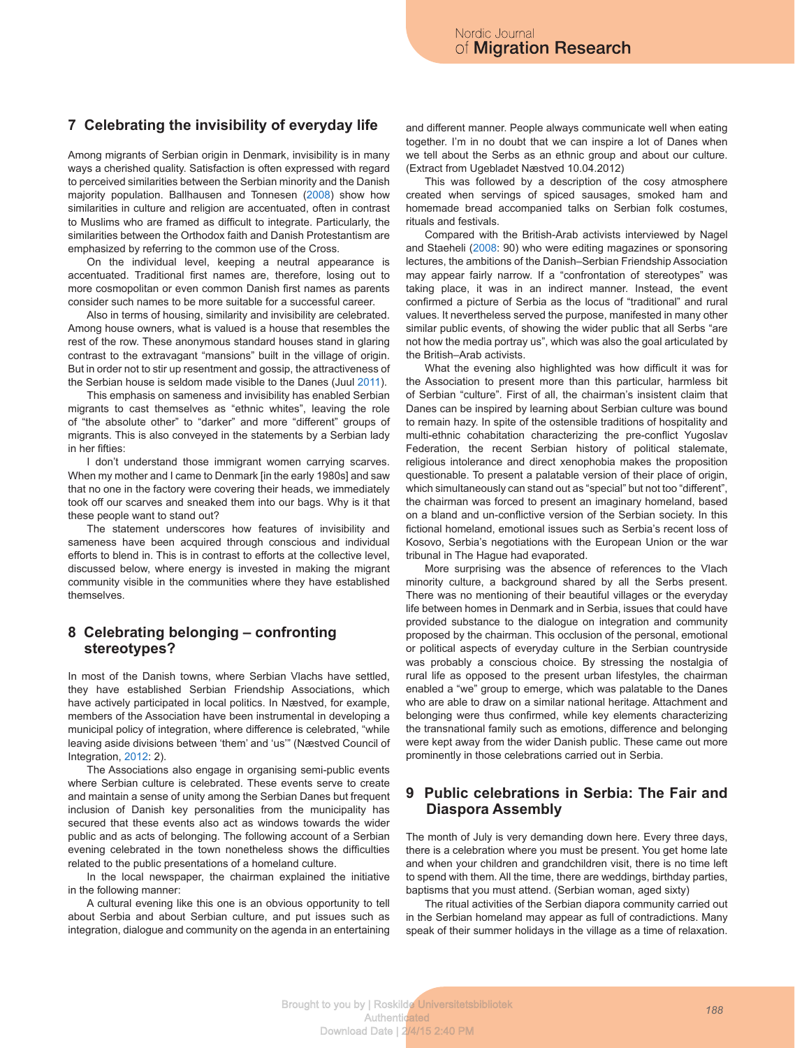#### **7 Celebrating the invisibility of everyday life**

Among migrants of Serbian origin in Denmark, invisibility is in many ways a cherished quality. Satisfaction is often expressed with regard to perceived similarities between the Serbian minority and the Danish majority population. Ballhausen and Tonnesen (2008) show how similarities in culture and religion are accentuated, often in contrast to Muslims who are framed as difficult to integrate. Particularly, the similarities between the Orthodox faith and Danish Protestantism are emphasized by referring to the common use of the Cross.

On the individual level, keeping a neutral appearance is accentuated. Traditional first names are, therefore, losing out to more cosmopolitan or even common Danish first names as parents consider such names to be more suitable for a successful career.

Also in terms of housing, similarity and invisibility are celebrated. Among house owners, what is valued is a house that resembles the rest of the row. These anonymous standard houses stand in glaring contrast to the extravagant "mansions" built in the village of origin. But in order not to stir up resentment and gossip, the attractiveness of the Serbian house is seldom made visible to the Danes (Juul 2011).

This emphasis on sameness and invisibility has enabled Serbian migrants to cast themselves as "ethnic whites", leaving the role of "the absolute other" to "darker" and more "different" groups of migrants. This is also conveyed in the statements by a Serbian lady in her fifties:

I don't understand those immigrant women carrying scarves. When my mother and I came to Denmark [in the early 1980s] and saw that no one in the factory were covering their heads, we immediately took off our scarves and sneaked them into our bags. Why is it that these people want to stand out?

The statement underscores how features of invisibility and sameness have been acquired through conscious and individual efforts to blend in. This is in contrast to efforts at the collective level, discussed below, where energy is invested in making the migrant community visible in the communities where they have established themselves.

#### **8 Celebrating belonging – confronting stereotypes?**

In most of the Danish towns, where Serbian Vlachs have settled, they have established Serbian Friendship Associations, which have actively participated in local politics. In Næstved, for example, members of the Association have been instrumental in developing a municipal policy of integration, where difference is celebrated, "while leaving aside divisions between 'them' and 'us'" (Næstved Council of Integration, 2012: 2).

The Associations also engage in organising semi-public events where Serbian culture is celebrated. These events serve to create and maintain a sense of unity among the Serbian Danes but frequent inclusion of Danish key personalities from the municipality has secured that these events also act as windows towards the wider public and as acts of belonging. The following account of a Serbian evening celebrated in the town nonetheless shows the difficulties related to the public presentations of a homeland culture.

In the local newspaper, the chairman explained the initiative in the following manner:

A cultural evening like this one is an obvious opportunity to tell about Serbia and about Serbian culture, and put issues such as integration, dialogue and community on the agenda in an entertaining and different manner. People always communicate well when eating together. I'm in no doubt that we can inspire a lot of Danes when we tell about the Serbs as an ethnic group and about our culture. (Extract from Ugebladet Næstved 10.04.2012)

This was followed by a description of the cosy atmosphere created when servings of spiced sausages, smoked ham and homemade bread accompanied talks on Serbian folk costumes, rituals and festivals.

Compared with the British-Arab activists interviewed by Nagel and Staeheli (2008: 90) who were editing magazines or sponsoring lectures, the ambitions of the Danish–Serbian Friendship Association may appear fairly narrow. If a "confrontation of stereotypes" was taking place, it was in an indirect manner. Instead, the event confirmed a picture of Serbia as the locus of "traditional" and rural values. It nevertheless served the purpose, manifested in many other similar public events, of showing the wider public that all Serbs "are not how the media portray us", which was also the goal articulated by the British–Arab activists.

What the evening also highlighted was how difficult it was for the Association to present more than this particular, harmless bit of Serbian "culture". First of all, the chairman's insistent claim that Danes can be inspired by learning about Serbian culture was bound to remain hazy. In spite of the ostensible traditions of hospitality and multi-ethnic cohabitation characterizing the pre-conflict Yugoslav Federation, the recent Serbian history of political stalemate, religious intolerance and direct xenophobia makes the proposition questionable. To present a palatable version of their place of origin, which simultaneously can stand out as "special" but not too "different", the chairman was forced to present an imaginary homeland, based on a bland and un-conflictive version of the Serbian society. In this fictional homeland, emotional issues such as Serbia's recent loss of Kosovo, Serbia's negotiations with the European Union or the war tribunal in The Hague had evaporated.

More surprising was the absence of references to the Vlach minority culture, a background shared by all the Serbs present. There was no mentioning of their beautiful villages or the everyday life between homes in Denmark and in Serbia, issues that could have provided substance to the dialogue on integration and community proposed by the chairman. This occlusion of the personal, emotional or political aspects of everyday culture in the Serbian countryside was probably a conscious choice. By stressing the nostalgia of rural life as opposed to the present urban lifestyles, the chairman enabled a "we" group to emerge, which was palatable to the Danes who are able to draw on a similar national heritage. Attachment and belonging were thus confirmed, while key elements characterizing the transnational family such as emotions, difference and belonging were kept away from the wider Danish public. These came out more prominently in those celebrations carried out in Serbia.

#### **9 Public celebrations in Serbia: The Fair and Diaspora Assembly**

The month of July is very demanding down here. Every three days, there is a celebration where you must be present. You get home late and when your children and grandchildren visit, there is no time left to spend with them. All the time, there are weddings, birthday parties, baptisms that you must attend. (Serbian woman, aged sixty)

The ritual activities of the Serbian diapora community carried out in the Serbian homeland may appear as full of contradictions. Many speak of their summer holidays in the village as a time of relaxation.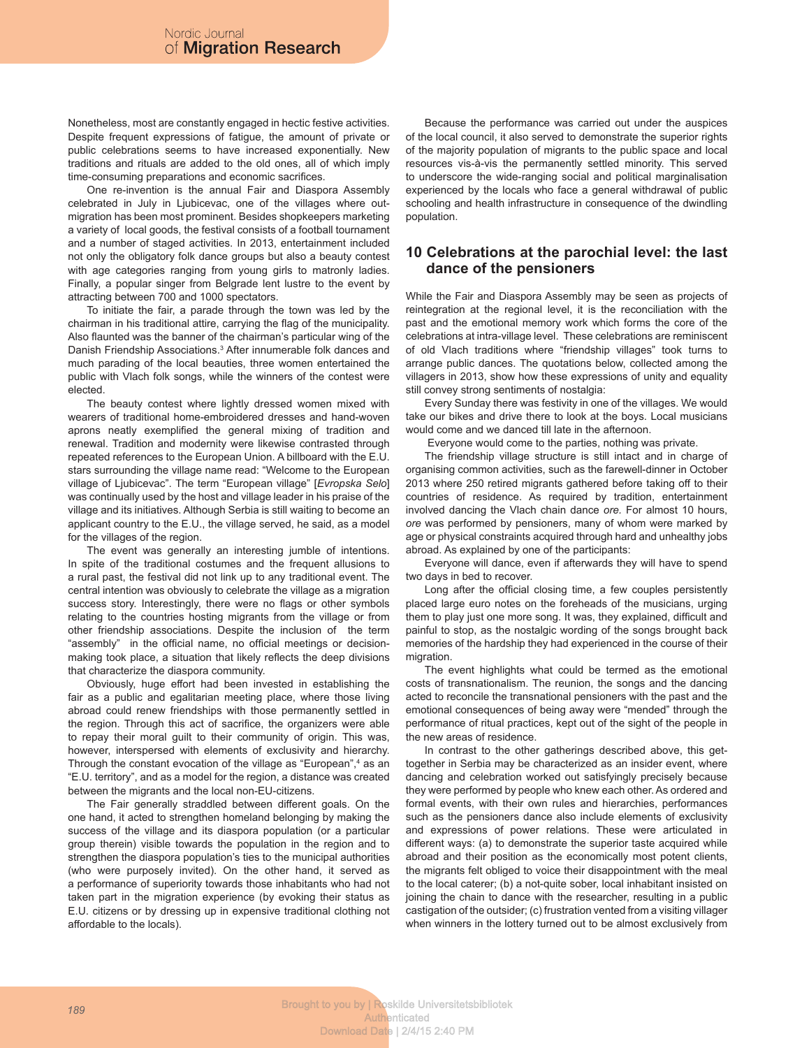Nonetheless, most are constantly engaged in hectic festive activities. Despite frequent expressions of fatigue, the amount of private or public celebrations seems to have increased exponentially. New traditions and rituals are added to the old ones, all of which imply time-consuming preparations and economic sacrifices.

One re-invention is the annual Fair and Diaspora Assembly celebrated in July in Ljubicevac, one of the villages where outmigration has been most prominent. Besides shopkeepers marketing a variety of local goods, the festival consists of a football tournament and a number of staged activities. In 2013, entertainment included not only the obligatory folk dance groups but also a beauty contest with age categories ranging from young girls to matronly ladies. Finally, a popular singer from Belgrade lent lustre to the event by attracting between 700 and 1000 spectators.

To initiate the fair, a parade through the town was led by the chairman in his traditional attire, carrying the flag of the municipality. Also flaunted was the banner of the chairman's particular wing of the Danish Friendship Associations.<sup>3</sup> After innumerable folk dances and much parading of the local beauties, three women entertained the public with Vlach folk songs, while the winners of the contest were elected.

The beauty contest where lightly dressed women mixed with wearers of traditional home-embroidered dresses and hand-woven aprons neatly exemplified the general mixing of tradition and renewal. Tradition and modernity were likewise contrasted through repeated references to the European Union. A billboard with the E.U. stars surrounding the village name read: "Welcome to the European village of Ljubicevac". The term "European village" [*Evropska Selo*] was continually used by the host and village leader in his praise of the village and its initiatives. Although Serbia is still waiting to become an applicant country to the E.U., the village served, he said, as a model for the villages of the region.

The event was generally an interesting jumble of intentions. In spite of the traditional costumes and the frequent allusions to a rural past, the festival did not link up to any traditional event. The central intention was obviously to celebrate the village as a migration success story. Interestingly, there were no flags or other symbols relating to the countries hosting migrants from the village or from other friendship associations. Despite the inclusion of the term "assembly" in the official name, no official meetings or decisionmaking took place, a situation that likely reflects the deep divisions that characterize the diaspora community.

Obviously, huge effort had been invested in establishing the fair as a public and egalitarian meeting place, where those living abroad could renew friendships with those permanently settled in the region. Through this act of sacrifice, the organizers were able to repay their moral guilt to their community of origin. This was, however, interspersed with elements of exclusivity and hierarchy. Through the constant evocation of the village as "European",<sup>4</sup> as an "E.U. territory", and as a model for the region, a distance was created between the migrants and the local non-EU-citizens.

The Fair generally straddled between different goals. On the one hand, it acted to strengthen homeland belonging by making the success of the village and its diaspora population (or a particular group therein) visible towards the population in the region and to strengthen the diaspora population's ties to the municipal authorities (who were purposely invited). On the other hand, it served as a performance of superiority towards those inhabitants who had not taken part in the migration experience (by evoking their status as E.U. citizens or by dressing up in expensive traditional clothing not affordable to the locals).

Because the performance was carried out under the auspices of the local council, it also served to demonstrate the superior rights of the majority population of migrants to the public space and local resources vis-à-vis the permanently settled minority. This served to underscore the wide-ranging social and political marginalisation experienced by the locals who face a general withdrawal of public schooling and health infrastructure in consequence of the dwindling population.

#### **10 Celebrations at the parochial level: the last dance of the pensioners**

While the Fair and Diaspora Assembly may be seen as projects of reintegration at the regional level, it is the reconciliation with the past and the emotional memory work which forms the core of the celebrations at intra-village level. These celebrations are reminiscent of old Vlach traditions where "friendship villages" took turns to arrange public dances. The quotations below, collected among the villagers in 2013, show how these expressions of unity and equality still convey strong sentiments of nostalgia:

Every Sunday there was festivity in one of the villages. We would take our bikes and drive there to look at the boys. Local musicians would come and we danced till late in the afternoon.

Everyone would come to the parties, nothing was private.

The friendship village structure is still intact and in charge of organising common activities, such as the farewell-dinner in October 2013 where 250 retired migrants gathered before taking off to their countries of residence. As required by tradition, entertainment involved dancing the Vlach chain dance *ore.* For almost 10 hours, *ore* was performed by pensioners, many of whom were marked by age or physical constraints acquired through hard and unhealthy jobs abroad. As explained by one of the participants:

Everyone will dance, even if afterwards they will have to spend two days in bed to recover.

Long after the official closing time, a few couples persistently placed large euro notes on the foreheads of the musicians, urging them to play just one more song. It was, they explained, difficult and painful to stop, as the nostalgic wording of the songs brought back memories of the hardship they had experienced in the course of their migration.

The event highlights what could be termed as the emotional costs of transnationalism. The reunion, the songs and the dancing acted to reconcile the transnational pensioners with the past and the emotional consequences of being away were "mended" through the performance of ritual practices, kept out of the sight of the people in the new areas of residence.

In contrast to the other gatherings described above, this gettogether in Serbia may be characterized as an insider event, where dancing and celebration worked out satisfyingly precisely because they were performed by people who knew each other. As ordered and formal events, with their own rules and hierarchies, performances such as the pensioners dance also include elements of exclusivity and expressions of power relations. These were articulated in different ways: (a) to demonstrate the superior taste acquired while abroad and their position as the economically most potent clients, the migrants felt obliged to voice their disappointment with the meal to the local caterer; (b) a not-quite sober, local inhabitant insisted on joining the chain to dance with the researcher, resulting in a public castigation of the outsider; (c) frustration vented from a visiting villager when winners in the lottery turned out to be almost exclusively from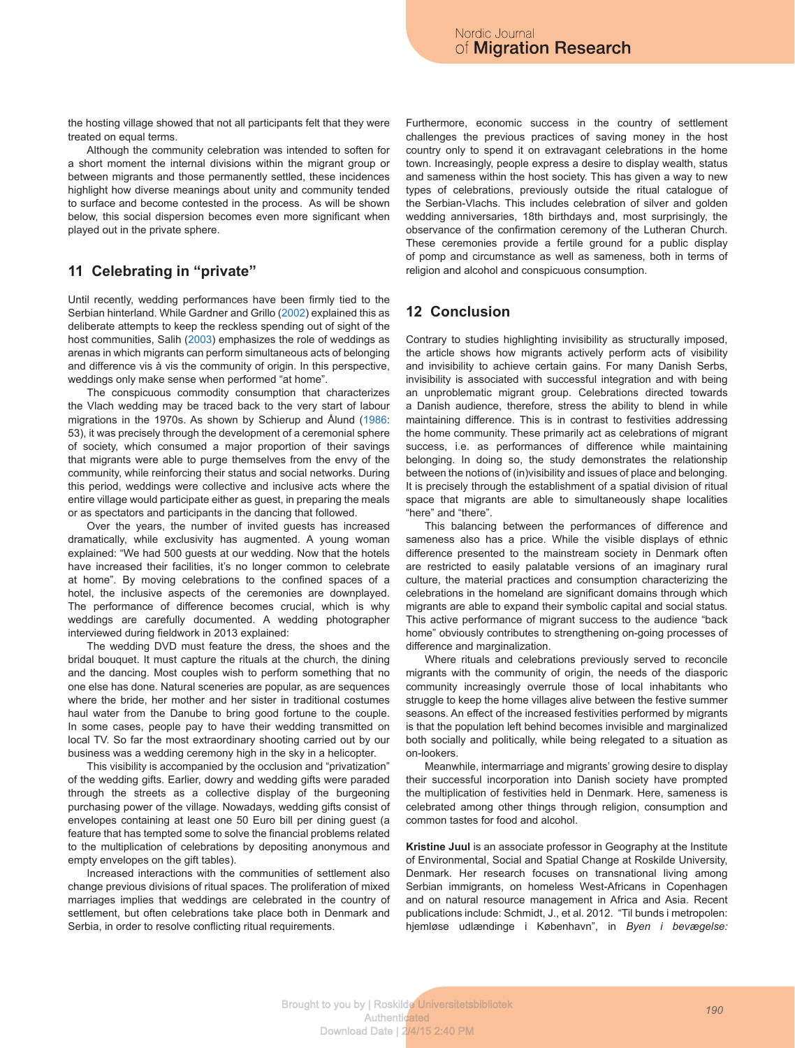the hosting village showed that not all participants felt that they were treated on equal terms.

Although the community celebration was intended to soften for a short moment the internal divisions within the migrant group or between migrants and those permanently settled, these incidences highlight how diverse meanings about unity and community tended to surface and become contested in the process. As will be shown below, this social dispersion becomes even more significant when played out in the private sphere.

### **11 Celebrating in "private"**

Until recently, wedding performances have been firmly tied to the Serbian hinterland. While Gardner and Grillo (2002) explained this as deliberate attempts to keep the reckless spending out of sight of the host communities, Salih (2003) emphasizes the role of weddings as arenas in which migrants can perform simultaneous acts of belonging and difference vis à vis the community of origin. In this perspective, weddings only make sense when performed "at home".

The conspicuous commodity consumption that characterizes the Vlach wedding may be traced back to the very start of labour migrations in the 1970s. As shown by Schierup and Ålund (1986: 53), it was precisely through the development of a ceremonial sphere of society, which consumed a major proportion of their savings that migrants were able to purge themselves from the envy of the community, while reinforcing their status and social networks. During this period, weddings were collective and inclusive acts where the entire village would participate either as guest, in preparing the meals or as spectators and participants in the dancing that followed.

Over the years, the number of invited guests has increased dramatically, while exclusivity has augmented. A young woman explained: "We had 500 guests at our wedding. Now that the hotels have increased their facilities, it's no longer common to celebrate at home". By moving celebrations to the confined spaces of a hotel, the inclusive aspects of the ceremonies are downplayed. The performance of difference becomes crucial, which is why weddings are carefully documented. A wedding photographer interviewed during fieldwork in 2013 explained:

The wedding DVD must feature the dress, the shoes and the bridal bouquet. It must capture the rituals at the church, the dining and the dancing. Most couples wish to perform something that no one else has done. Natural sceneries are popular, as are sequences where the bride, her mother and her sister in traditional costumes haul water from the Danube to bring good fortune to the couple. In some cases, people pay to have their wedding transmitted on local TV. So far the most extraordinary shooting carried out by our business was a wedding ceremony high in the sky in a helicopter.

This visibility is accompanied by the occlusion and "privatization" of the wedding gifts. Earlier, dowry and wedding gifts were paraded through the streets as a collective display of the burgeoning purchasing power of the village. Nowadays, wedding gifts consist of envelopes containing at least one 50 Euro bill per dining guest (a feature that has tempted some to solve the financial problems related to the multiplication of celebrations by depositing anonymous and empty envelopes on the gift tables).

Increased interactions with the communities of settlement also change previous divisions of ritual spaces. The proliferation of mixed marriages implies that weddings are celebrated in the country of settlement, but often celebrations take place both in Denmark and Serbia, in order to resolve conflicting ritual requirements.

Furthermore, economic success in the country of settlement challenges the previous practices of saving money in the host country only to spend it on extravagant celebrations in the home town. Increasingly, people express a desire to display wealth, status and sameness within the host society. This has given a way to new types of celebrations, previously outside the ritual catalogue of the Serbian-Vlachs. This includes celebration of silver and golden wedding anniversaries, 18th birthdays and, most surprisingly, the observance of the confirmation ceremony of the Lutheran Church. These ceremonies provide a fertile ground for a public display of pomp and circumstance as well as sameness, both in terms of religion and alcohol and conspicuous consumption.

### **12 Conclusion**

Contrary to studies highlighting invisibility as structurally imposed, the article shows how migrants actively perform acts of visibility and invisibility to achieve certain gains. For many Danish Serbs, invisibility is associated with successful integration and with being an unproblematic migrant group. Celebrations directed towards a Danish audience, therefore, stress the ability to blend in while maintaining difference. This is in contrast to festivities addressing the home community. These primarily act as celebrations of migrant success, i.e. as performances of difference while maintaining belonging. In doing so, the study demonstrates the relationship between the notions of (in)visibility and issues of place and belonging. It is precisely through the establishment of a spatial division of ritual space that migrants are able to simultaneously shape localities "here" and "there".

This balancing between the performances of difference and sameness also has a price. While the visible displays of ethnic difference presented to the mainstream society in Denmark often are restricted to easily palatable versions of an imaginary rural culture, the material practices and consumption characterizing the celebrations in the homeland are significant domains through which migrants are able to expand their symbolic capital and social status. This active performance of migrant success to the audience "back home" obviously contributes to strengthening on-going processes of difference and marginalization.

Where rituals and celebrations previously served to reconcile migrants with the community of origin, the needs of the diasporic community increasingly overrule those of local inhabitants who struggle to keep the home villages alive between the festive summer seasons. An effect of the increased festivities performed by migrants is that the population left behind becomes invisible and marginalized both socially and politically, while being relegated to a situation as on-lookers.

Meanwhile, intermarriage and migrants' growing desire to display their successful incorporation into Danish society have prompted the multiplication of festivities held in Denmark. Here, sameness is celebrated among other things through religion, consumption and common tastes for food and alcohol.

**Kristine Juul** is an associate professor in Geography at the Institute of Environmental, Social and Spatial Change at Roskilde University, Denmark. Her research focuses on transnational living among Serbian immigrants, on homeless West-Africans in Copenhagen and on natural resource management in Africa and Asia. Recent publications include: Schmidt, J., et al. 2012. "[Til bunds i metropolen:](http://rucforsk.ruc.dk/site/da/publications/til-bunds-i-metropolen(aa408488-d87c-40fc-ae8f-a89d328d7bd7).html) [hjemløse udlændinge i København",](http://rucforsk.ruc.dk/site/da/publications/til-bunds-i-metropolen(aa408488-d87c-40fc-ae8f-a89d328d7bd7).html) in *Byen i bevægelse:*